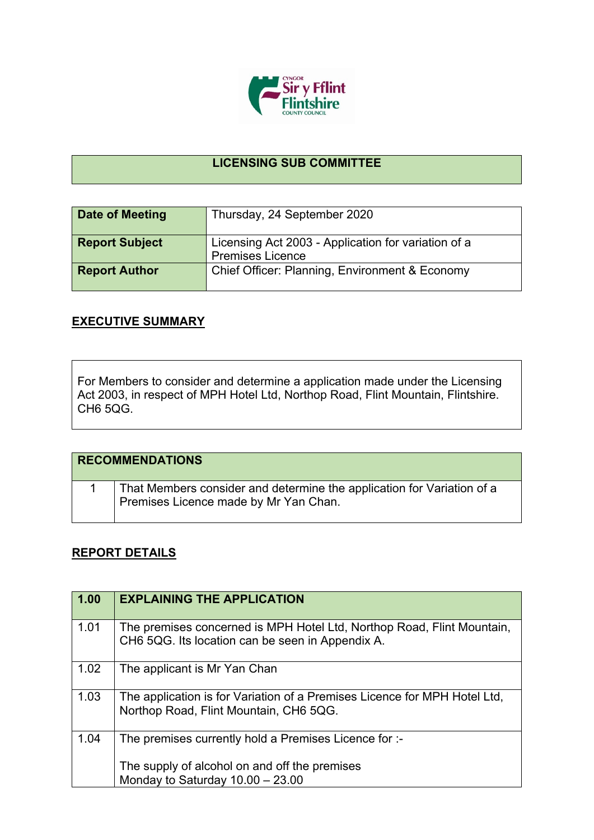

## **LICENSING SUB COMMITTEE**

| Date of Meeting       | Thursday, 24 September 2020                                                    |
|-----------------------|--------------------------------------------------------------------------------|
| <b>Report Subject</b> | Licensing Act 2003 - Application for variation of a<br><b>Premises Licence</b> |
| <b>Report Author</b>  | Chief Officer: Planning, Environment & Economy                                 |

## **EXECUTIVE SUMMARY**

For Members to consider and determine a application made under the Licensing Act 2003, in respect of MPH Hotel Ltd, Northop Road, Flint Mountain, Flintshire. CH6 5QG.

| <b>RECOMMENDATIONS</b> |                                                                                                                 |
|------------------------|-----------------------------------------------------------------------------------------------------------------|
|                        | That Members consider and determine the application for Variation of a<br>Premises Licence made by Mr Yan Chan. |

## **REPORT DETAILS**

| 1.00 | <b>EXPLAINING THE APPLICATION</b>                                                                                          |
|------|----------------------------------------------------------------------------------------------------------------------------|
| 1.01 | The premises concerned is MPH Hotel Ltd, Northop Road, Flint Mountain,<br>CH6 5QG. Its location can be seen in Appendix A. |
| 1.02 | The applicant is Mr Yan Chan                                                                                               |
| 1.03 | The application is for Variation of a Premises Licence for MPH Hotel Ltd,<br>Northop Road, Flint Mountain, CH6 5QG.        |
| 1.04 | The premises currently hold a Premises Licence for :-                                                                      |
|      | The supply of alcohol on and off the premises<br>Monday to Saturday $10.00 - 23.00$                                        |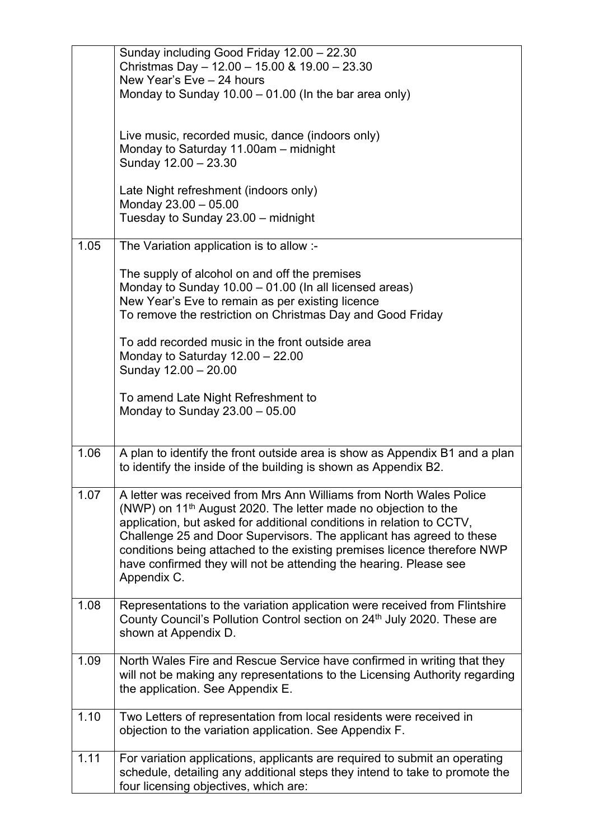|      | Sunday including Good Friday 12.00 - 22.30                                                                                                        |
|------|---------------------------------------------------------------------------------------------------------------------------------------------------|
|      | Christmas Day - 12.00 - 15.00 & 19.00 - 23.30<br>New Year's Eve - 24 hours                                                                        |
|      | Monday to Sunday $10.00 - 01.00$ (In the bar area only)                                                                                           |
|      |                                                                                                                                                   |
|      | Live music, recorded music, dance (indoors only)                                                                                                  |
|      | Monday to Saturday 11.00am - midnight<br>Sunday 12.00 - 23.30                                                                                     |
|      |                                                                                                                                                   |
|      | Late Night refreshment (indoors only)                                                                                                             |
|      | Monday 23.00 - 05.00<br>Tuesday to Sunday 23.00 - midnight                                                                                        |
|      |                                                                                                                                                   |
| 1.05 | The Variation application is to allow :-                                                                                                          |
|      | The supply of alcohol on and off the premises                                                                                                     |
|      | Monday to Sunday 10.00 - 01.00 (In all licensed areas)<br>New Year's Eve to remain as per existing licence                                        |
|      | To remove the restriction on Christmas Day and Good Friday                                                                                        |
|      |                                                                                                                                                   |
|      | To add recorded music in the front outside area<br>Monday to Saturday $12.00 - 22.00$                                                             |
|      | Sunday 12.00 - 20.00                                                                                                                              |
|      |                                                                                                                                                   |
|      | To amend Late Night Refreshment to<br>Monday to Sunday $23.00 - 05.00$                                                                            |
|      |                                                                                                                                                   |
| 1.06 | A plan to identify the front outside area is show as Appendix B1 and a plan                                                                       |
|      | to identify the inside of the building is shown as Appendix B2.                                                                                   |
|      |                                                                                                                                                   |
| 1.07 | A letter was received from Mrs Ann Williams from North Wales Police<br>(NWP) on 11 <sup>th</sup> August 2020. The letter made no objection to the |
|      | application, but asked for additional conditions in relation to CCTV,                                                                             |
|      | Challenge 25 and Door Supervisors. The applicant has agreed to these                                                                              |
|      | conditions being attached to the existing premises licence therefore NWP<br>have confirmed they will not be attending the hearing. Please see     |
|      | Appendix C.                                                                                                                                       |
| 1.08 | Representations to the variation application were received from Flintshire                                                                        |
|      | County Council's Pollution Control section on 24th July 2020. These are                                                                           |
|      | shown at Appendix D.                                                                                                                              |
| 1.09 | North Wales Fire and Rescue Service have confirmed in writing that they                                                                           |
|      | will not be making any representations to the Licensing Authority regarding                                                                       |
|      | the application. See Appendix E.                                                                                                                  |
| 1.10 | Two Letters of representation from local residents were received in                                                                               |
|      | objection to the variation application. See Appendix F.                                                                                           |
| 1.11 | For variation applications, applicants are required to submit an operating                                                                        |
|      |                                                                                                                                                   |
|      | schedule, detailing any additional steps they intend to take to promote the<br>four licensing objectives, which are:                              |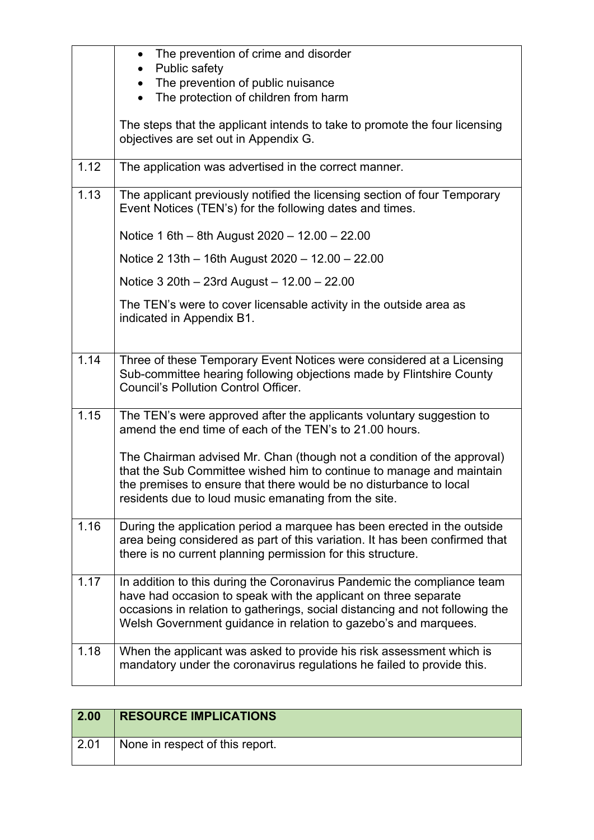|      | The prevention of crime and disorder<br>$\bullet$<br>Public safety<br>The prevention of public nuisance<br>The protection of children from harm                                                                                                                                               |
|------|-----------------------------------------------------------------------------------------------------------------------------------------------------------------------------------------------------------------------------------------------------------------------------------------------|
|      | The steps that the applicant intends to take to promote the four licensing<br>objectives are set out in Appendix G.                                                                                                                                                                           |
| 1.12 | The application was advertised in the correct manner.                                                                                                                                                                                                                                         |
| 1.13 | The applicant previously notified the licensing section of four Temporary<br>Event Notices (TEN's) for the following dates and times.                                                                                                                                                         |
|      | Notice 1 6th – 8th August $2020 - 12.00 - 22.00$                                                                                                                                                                                                                                              |
|      | Notice 2 13th - 16th August 2020 - 12.00 - 22.00                                                                                                                                                                                                                                              |
|      | Notice $3\,20$ th - 23rd August - 12.00 - 22.00                                                                                                                                                                                                                                               |
|      | The TEN's were to cover licensable activity in the outside area as<br>indicated in Appendix B1.                                                                                                                                                                                               |
| 1.14 | Three of these Temporary Event Notices were considered at a Licensing<br>Sub-committee hearing following objections made by Flintshire County<br><b>Council's Pollution Control Officer.</b>                                                                                                  |
| 1.15 | The TEN's were approved after the applicants voluntary suggestion to<br>amend the end time of each of the TEN's to 21.00 hours.                                                                                                                                                               |
|      | The Chairman advised Mr. Chan (though not a condition of the approval)<br>that the Sub Committee wished him to continue to manage and maintain<br>the premises to ensure that there would be no disturbance to local<br>residents due to loud music emanating from the site.                  |
| 1.16 | During the application period a marquee has been erected in the outside<br>area being considered as part of this variation. It has been confirmed that<br>there is no current planning permission for this structure.                                                                         |
| 1.17 | In addition to this during the Coronavirus Pandemic the compliance team<br>have had occasion to speak with the applicant on three separate<br>occasions in relation to gatherings, social distancing and not following the<br>Welsh Government guidance in relation to gazebo's and marquees. |
| 1.18 | When the applicant was asked to provide his risk assessment which is<br>mandatory under the coronavirus regulations he failed to provide this.                                                                                                                                                |

| 2.00 | <b>RESOURCE IMPLICATIONS</b>    |
|------|---------------------------------|
| 2.01 | None in respect of this report. |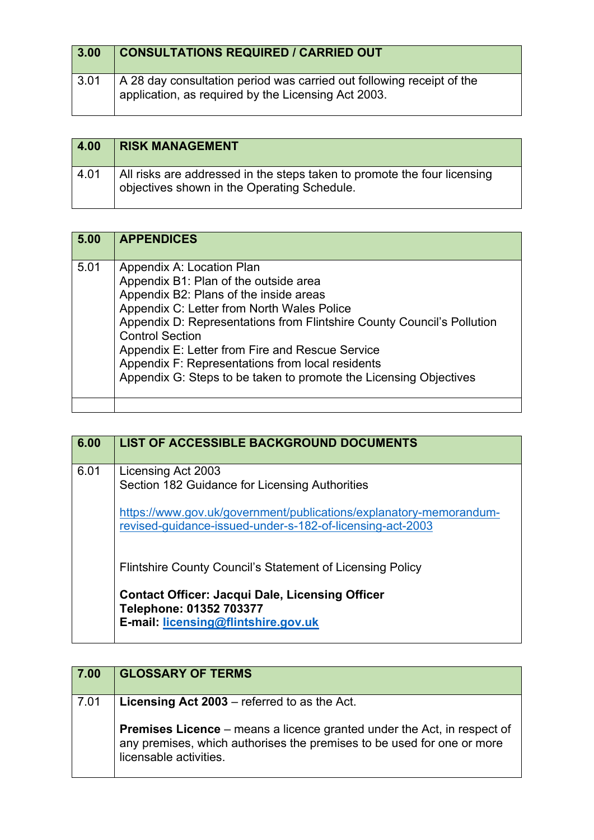| 3.00 | <b>CONSULTATIONS REQUIRED / CARRIED OUT</b>                                                                                  |
|------|------------------------------------------------------------------------------------------------------------------------------|
| 3.01 | A 28 day consultation period was carried out following receipt of the<br>application, as required by the Licensing Act 2003. |

| 4.00 | <b>RISK MANAGEMENT</b>                                                                                                  |
|------|-------------------------------------------------------------------------------------------------------------------------|
| 4.01 | All risks are addressed in the steps taken to promote the four licensing<br>objectives shown in the Operating Schedule. |

| 5.00 | <b>APPENDICES</b>                                                                                                                                                                                                                                                                                                                                                                                                                          |
|------|--------------------------------------------------------------------------------------------------------------------------------------------------------------------------------------------------------------------------------------------------------------------------------------------------------------------------------------------------------------------------------------------------------------------------------------------|
| 5.01 | Appendix A: Location Plan<br>Appendix B1: Plan of the outside area<br>Appendix B2: Plans of the inside areas<br>Appendix C: Letter from North Wales Police<br>Appendix D: Representations from Flintshire County Council's Pollution<br><b>Control Section</b><br>Appendix E: Letter from Fire and Rescue Service<br>Appendix F: Representations from local residents<br>Appendix G: Steps to be taken to promote the Licensing Objectives |

| 6.00 | <b>LIST OF ACCESSIBLE BACKGROUND DOCUMENTS</b>                                                                                  |
|------|---------------------------------------------------------------------------------------------------------------------------------|
| 6.01 | Licensing Act 2003<br>Section 182 Guidance for Licensing Authorities                                                            |
|      | https://www.gov.uk/government/publications/explanatory-memorandum-<br>revised-guidance-issued-under-s-182-of-licensing-act-2003 |
|      | <b>Flintshire County Council's Statement of Licensing Policy</b>                                                                |
|      | <b>Contact Officer: Jacqui Dale, Licensing Officer</b><br>Telephone: 01352 703377<br>E-mail: licensing@flintshire.gov.uk        |

| 7.00 | <b>GLOSSARY OF TERMS</b>                                                                                                                                                           |
|------|------------------------------------------------------------------------------------------------------------------------------------------------------------------------------------|
| 7.01 | <b>Licensing Act 2003</b> – referred to as the Act.                                                                                                                                |
|      | <b>Premises Licence</b> – means a licence granted under the Act, in respect of<br>any premises, which authorises the premises to be used for one or more<br>licensable activities. |